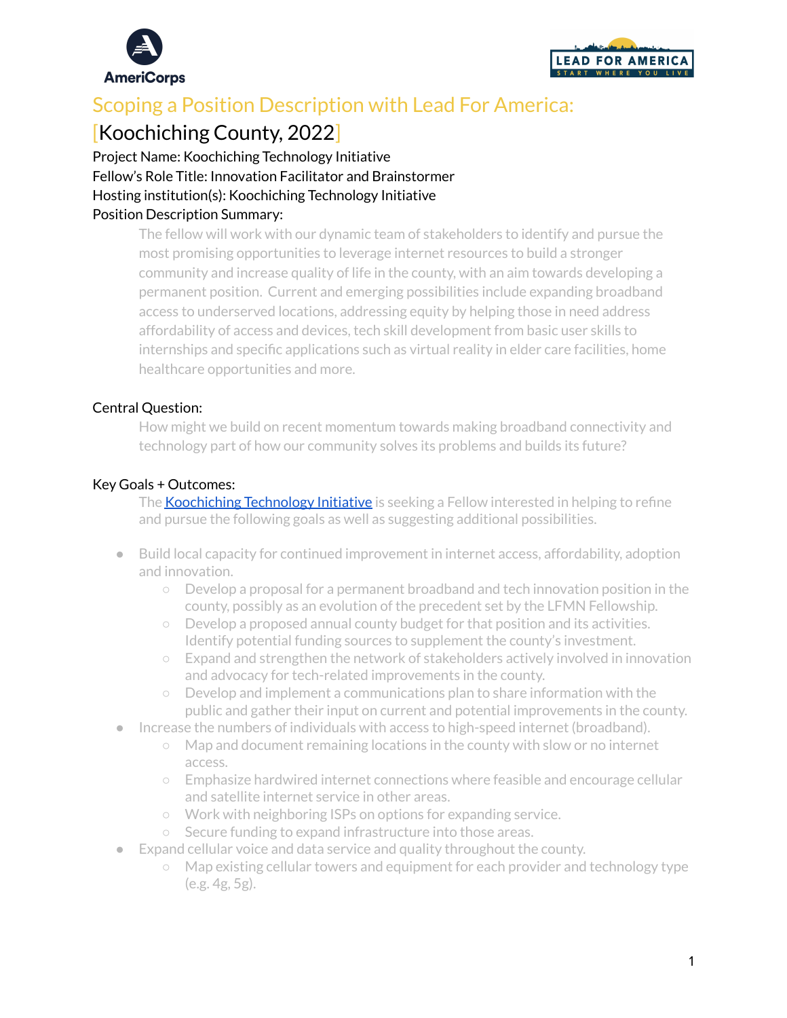



# Scoping a Position Description with Lead For America:

## [Koochiching County, 2022]

Project Name: Koochiching Technology Initiative Fellow's Role Title: Innovation Facilitator and Brainstormer Hosting institution(s): Koochiching Technology Initiative

## Position Description Summary:

The fellow will work with our dynamic team of stakeholders to identify and pursue the most promising opportunities to leverage internet resources to build a stronger community and increase quality of life in the county, with an aim towards developing a permanent position. Current and emerging possibilities include expanding broadband access to underserved locations, addressing equity by helping those in need address affordability of access and devices, tech skill development from basic user skills to internships and specific applications such as virtual reality in elder care facilities, home healthcare opportunities and more.

## Central Question:

How might we build on recent momentum towards making broadband connectivity and technology part of how our community solves its problems and builds its future?

#### Key Goals + Outcomes:

The **[Koochiching](http://koochiching.tech/) Technology Initiative** is seeking a Fellow interested in helping to refine and pursue the following goals as well as suggesting additional possibilities.

- Build local capacity for continued improvement in internet access, affordability, adoption and innovation.
	- Develop a proposal for a permanent broadband and tech innovation position in the county, possibly as an evolution of the precedent set by the LFMN Fellowship.
	- $\circ$  Develop a proposed annual county budget for that position and its activities. Identify potential funding sources to supplement the county's investment.
	- Expand and strengthen the network of stakeholders actively involved in innovation and advocacy for tech-related improvements in the county.
	- Develop and implement a communications plan to share information with the public and gather their input on current and potential improvements in the county.
- Increase the numbers of individuals with access to high-speed internet (broadband).
	- Map and document remaining locations in the county with slow or no internet access.
	- Emphasize hardwired internet connections where feasible and encourage cellular and satellite internet service in other areas.
	- Work with neighboring ISPs on options for expanding service.
	- Secure funding to expand infrastructure into those areas.
- Expand cellular voice and data service and quality throughout the county.
	- Map existing cellular towers and equipment for each provider and technology type (e.g. 4g, 5g).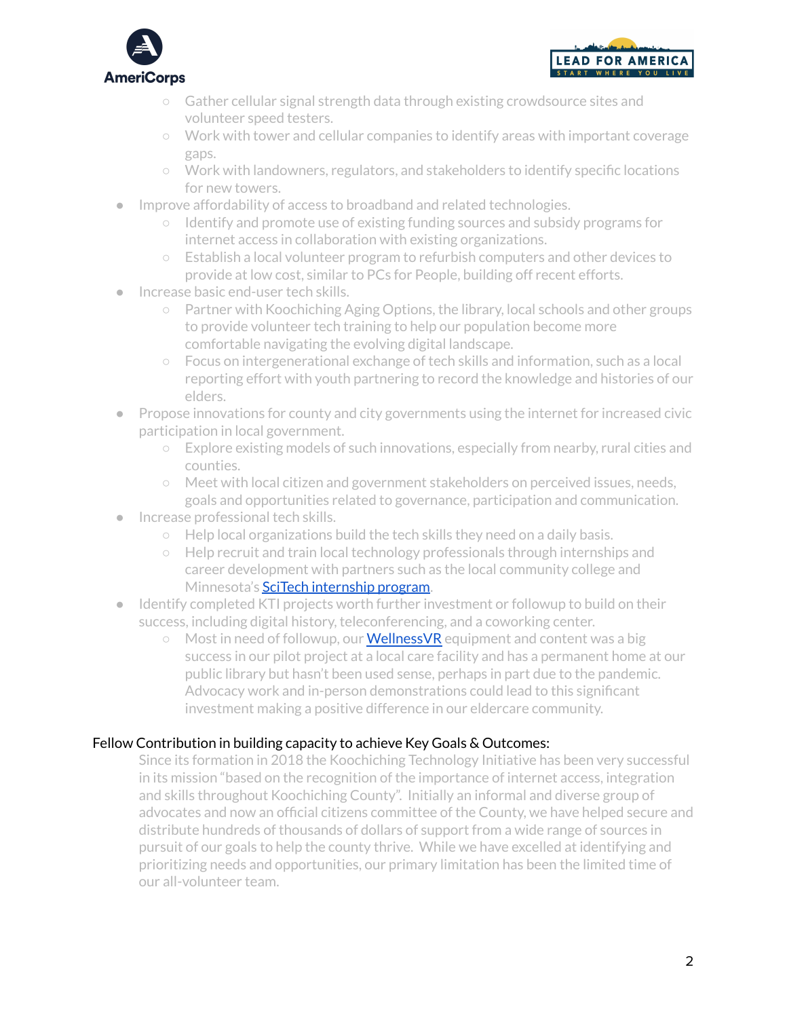



- Gather cellular signal strength data through existing crowdsource sites and volunteer speed testers.
- Work with tower and cellular companies to identify areas with important coverage gaps.
- Work with landowners, regulators, and stakeholders to identify specific locations for new towers.
- Improve affordability of access to broadband and related technologies.
	- Identify and promote use of existing funding sources and subsidy programs for internet access in collaboration with existing organizations.
	- Establish a local volunteer program to refurbish computers and other devices to provide at low cost, similar to PCs for People, building off recent efforts.
- Increase basic end-user tech skills.
	- Partner with Koochiching Aging Options, the library, local schools and other groups to provide volunteer tech training to help our population become more comfortable navigating the evolving digital landscape.
	- Focus on intergenerational exchange of tech skills and information, such as a local reporting effort with youth partnering to record the knowledge and histories of our elders.
- Propose innovations for county and city governments using the internet for increased civic participation in local government.
	- Explore existing models of such innovations, especially from nearby, rural cities and counties.
	- Meet with local citizen and government stakeholders on perceived issues, needs, goals and opportunities related to governance, participation and communication.
- Increase professional tech skills.
	- Help local organizations build the tech skills they need on a daily basis.
	- Help recruit and train local technology professionals through internships and career development with partners such as the local community college and Minnesota's **SciTech [internship](https://scitechmn.org/) program**.
- Identify completed KTI projects worth further investment or followup to build on their success, including digital history, teleconferencing, and a coworking center.
	- $\circ$  Most in need of followup, our **[WellnessVR](https://www.wellnessvr.io/)** equipment and content was a big success in our pilot project at a local care facility and has a permanent home at our public library but hasn't been used sense, perhaps in part due to the pandemic. Advocacy work and in-person demonstrations could lead to this significant investment making a positive difference in our eldercare community.

## Fellow Contribution in building capacity to achieve Key Goals & Outcomes:

Since its formation in 2018 the Koochiching Technology Initiative has been very successful in its mission "based on the recognition of the importance of internet access, integration and skills throughout Koochiching County". Initially an informal and diverse group of advocates and now an official citizens committee of the County, we have helped secure and distribute hundreds of thousands of dollars of support from a wide range of sources in pursuit of our goals to help the county thrive. While we have excelled at identifying and prioritizing needs and opportunities, our primary limitation has been the limited time of our all-volunteer team.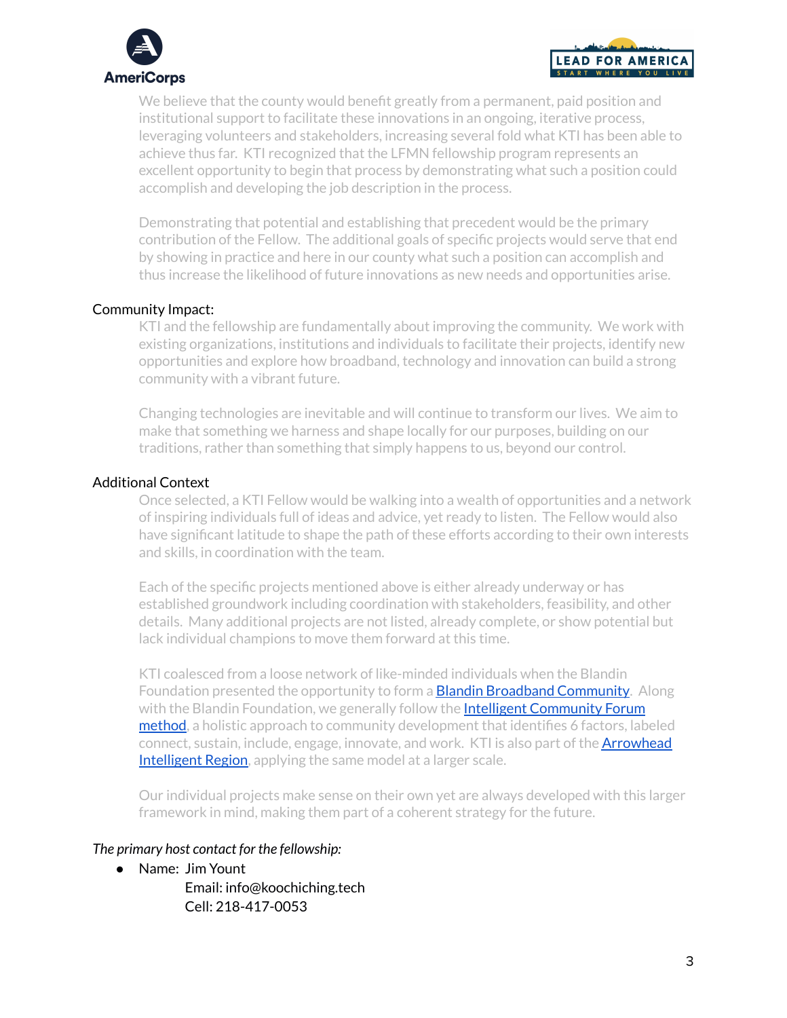



We believe that the county would benefit greatly from a permanent, paid position and institutional support to facilitate these innovations in an ongoing, iterative process, leveraging volunteers and stakeholders, increasing several fold what KTI has been able to achieve thus far. KTI recognized that the LFMN fellowship program represents an excellent opportunity to begin that process by demonstrating what such a position could accomplish and developing the job description in the process.

Demonstrating that potential and establishing that precedent would be the primary contribution of the Fellow. The additional goals of specific projects would serve that end by showing in practice and here in our county what such a position can accomplish and thus increase the likelihood of future innovations as new needs and opportunities arise.

#### Community Impact:

KTI and the fellowship are fundamentally about improving the community. We work with existing organizations, institutions and individuals to facilitate their projects, identify new opportunities and explore how broadband, technology and innovation can build a strong community with a vibrant future.

Changing technologies are inevitable and will continue to transform our lives. We aim to make that something we harness and shape locally for our purposes, building on our traditions, rather than something that simply happens to us, beyond our control.

#### Additional Context

Once selected, a KTI Fellow would be walking into a wealth of opportunities and a network of inspiring individuals full of ideas and advice, yet ready to listen. The Fellow would also have significant latitude to shape the path of these efforts according to their own interests and skills, in coordination with the team.

Each of the specific projects mentioned above is either already underway or has established groundwork including coordination with stakeholders, feasibility, and other details. Many additional projects are not listed, already complete, or show potential but lack individual champions to move them forward at this time.

KTI coalesced from a loose network of like-minded individuals when the Blandin Foundation presented the opportunity to form a **Blandin Broadband [Community](https://blandinfoundation.org/programs/broadband/blandin-broadband-communities-program/)**. Along with the Blandin Foundation, we generally follow the **Intelligent [Community](https://www.intelligentcommunity.org/method) Forum** [method](https://www.intelligentcommunity.org/method), a holistic approach to community development that identifies 6 factors, labeled connect, sustain, include, engage, innovate, and work. KTI is also part of the **[Arrowhead](https://blandinfoundation.org/programs/broadband/arrowhead-intelligent-region/) [Intelligent](https://blandinfoundation.org/programs/broadband/arrowhead-intelligent-region/) Region**, applying the same model at a larger scale.

Our individual projects make sense on their own yet are always developed with this larger framework in mind, making them part of a coherent strategy for the future.

#### *The primary host contact for the fellowship:*

- Name: Jim Yount
	- Email: info@koochiching.tech Cell: 218-417-0053